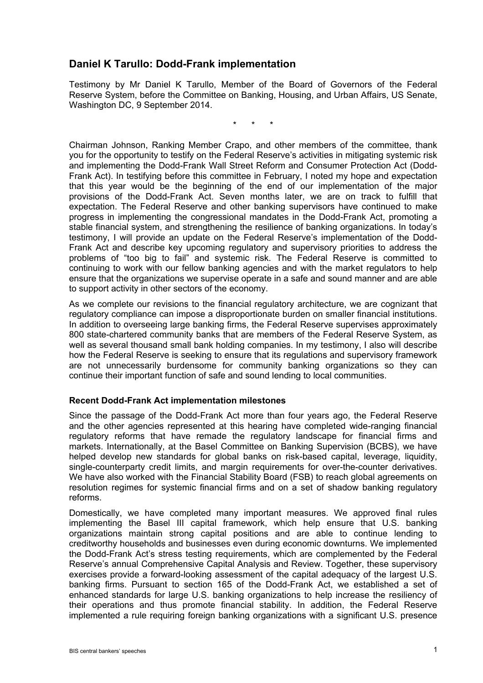# **Daniel K Tarullo: Dodd-Frank implementation**

Testimony by Mr Daniel K Tarullo, Member of the Board of Governors of the Federal Reserve System, before the Committee on Banking, Housing, and Urban Affairs, US Senate, Washington DC, 9 September 2014.

\* \* \*

Chairman Johnson, Ranking Member Crapo, and other members of the committee, thank you for the opportunity to testify on the Federal Reserve's activities in mitigating systemic risk and implementing the Dodd-Frank Wall Street Reform and Consumer Protection Act (Dodd-Frank Act). In testifying before this committee in February, I noted my hope and expectation that this year would be the beginning of the end of our implementation of the major provisions of the Dodd-Frank Act. Seven months later, we are on track to fulfill that expectation. The Federal Reserve and other banking supervisors have continued to make progress in implementing the congressional mandates in the Dodd-Frank Act, promoting a stable financial system, and strengthening the resilience of banking organizations. In today's testimony, I will provide an update on the Federal Reserve's implementation of the Dodd-Frank Act and describe key upcoming regulatory and supervisory priorities to address the problems of "too big to fail" and systemic risk. The Federal Reserve is committed to continuing to work with our fellow banking agencies and with the market regulators to help ensure that the organizations we supervise operate in a safe and sound manner and are able to support activity in other sectors of the economy.

As we complete our revisions to the financial regulatory architecture, we are cognizant that regulatory compliance can impose a disproportionate burden on smaller financial institutions. In addition to overseeing large banking firms, the Federal Reserve supervises approximately 800 state-chartered community banks that are members of the Federal Reserve System, as well as several thousand small bank holding companies. In my testimony, I also will describe how the Federal Reserve is seeking to ensure that its regulations and supervisory framework are not unnecessarily burdensome for community banking organizations so they can continue their important function of safe and sound lending to local communities.

## **Recent Dodd-Frank Act implementation milestones**

Since the passage of the Dodd-Frank Act more than four years ago, the Federal Reserve and the other agencies represented at this hearing have completed wide-ranging financial regulatory reforms that have remade the regulatory landscape for financial firms and markets. Internationally, at the Basel Committee on Banking Supervision (BCBS), we have helped develop new standards for global banks on risk-based capital, leverage, liquidity, single-counterparty credit limits, and margin requirements for over-the-counter derivatives. We have also worked with the Financial Stability Board (FSB) to reach global agreements on resolution regimes for systemic financial firms and on a set of shadow banking regulatory reforms.

Domestically, we have completed many important measures. We approved final rules implementing the Basel III capital framework, which help ensure that U.S. banking organizations maintain strong capital positions and are able to continue lending to creditworthy households and businesses even during economic downturns. We implemented the Dodd-Frank Act's stress testing requirements, which are complemented by the Federal Reserve's annual Comprehensive Capital Analysis and Review. Together, these supervisory exercises provide a forward-looking assessment of the capital adequacy of the largest U.S. banking firms. Pursuant to section 165 of the Dodd-Frank Act, we established a set of enhanced standards for large U.S. banking organizations to help increase the resiliency of their operations and thus promote financial stability. In addition, the Federal Reserve implemented a rule requiring foreign banking organizations with a significant U.S. presence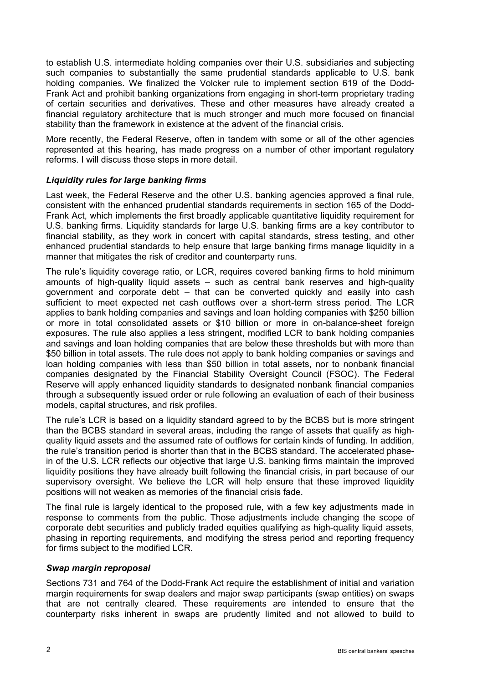to establish U.S. intermediate holding companies over their U.S. subsidiaries and subjecting such companies to substantially the same prudential standards applicable to U.S. bank holding companies. We finalized the Volcker rule to implement section 619 of the Dodd-Frank Act and prohibit banking organizations from engaging in short-term proprietary trading of certain securities and derivatives. These and other measures have already created a financial regulatory architecture that is much stronger and much more focused on financial stability than the framework in existence at the advent of the financial crisis.

More recently, the Federal Reserve, often in tandem with some or all of the other agencies represented at this hearing, has made progress on a number of other important regulatory reforms. I will discuss those steps in more detail.

# *Liquidity rules for large banking firms*

Last week, the Federal Reserve and the other U.S. banking agencies approved a final rule, consistent with the enhanced prudential standards requirements in section 165 of the Dodd-Frank Act, which implements the first broadly applicable quantitative liquidity requirement for U.S. banking firms. Liquidity standards for large U.S. banking firms are a key contributor to financial stability, as they work in concert with capital standards, stress testing, and other enhanced prudential standards to help ensure that large banking firms manage liquidity in a manner that mitigates the risk of creditor and counterparty runs.

The rule's liquidity coverage ratio, or LCR, requires covered banking firms to hold minimum amounts of high-quality liquid assets – such as central bank reserves and high-quality government and corporate debt – that can be converted quickly and easily into cash sufficient to meet expected net cash outflows over a short-term stress period. The LCR applies to bank holding companies and savings and loan holding companies with \$250 billion or more in total consolidated assets or \$10 billion or more in on-balance-sheet foreign exposures. The rule also applies a less stringent, modified LCR to bank holding companies and savings and loan holding companies that are below these thresholds but with more than \$50 billion in total assets. The rule does not apply to bank holding companies or savings and loan holding companies with less than \$50 billion in total assets, nor to nonbank financial companies designated by the Financial Stability Oversight Council (FSOC). The Federal Reserve will apply enhanced liquidity standards to designated nonbank financial companies through a subsequently issued order or rule following an evaluation of each of their business models, capital structures, and risk profiles.

The rule's LCR is based on a liquidity standard agreed to by the BCBS but is more stringent than the BCBS standard in several areas, including the range of assets that qualify as highquality liquid assets and the assumed rate of outflows for certain kinds of funding. In addition, the rule's transition period is shorter than that in the BCBS standard. The accelerated phasein of the U.S. LCR reflects our objective that large U.S. banking firms maintain the improved liquidity positions they have already built following the financial crisis, in part because of our supervisory oversight. We believe the LCR will help ensure that these improved liquidity positions will not weaken as memories of the financial crisis fade.

The final rule is largely identical to the proposed rule, with a few key adjustments made in response to comments from the public. Those adjustments include changing the scope of corporate debt securities and publicly traded equities qualifying as high-quality liquid assets, phasing in reporting requirements, and modifying the stress period and reporting frequency for firms subject to the modified LCR.

## *Swap margin reproposal*

Sections 731 and 764 of the Dodd-Frank Act require the establishment of initial and variation margin requirements for swap dealers and major swap participants (swap entities) on swaps that are not centrally cleared. These requirements are intended to ensure that the counterparty risks inherent in swaps are prudently limited and not allowed to build to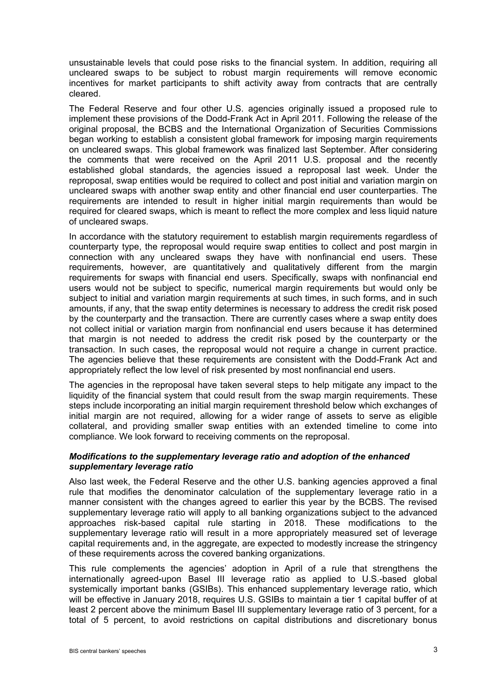unsustainable levels that could pose risks to the financial system. In addition, requiring all uncleared swaps to be subject to robust margin requirements will remove economic incentives for market participants to shift activity away from contracts that are centrally cleared.

The Federal Reserve and four other U.S. agencies originally issued a proposed rule to implement these provisions of the Dodd-Frank Act in April 2011. Following the release of the original proposal, the BCBS and the International Organization of Securities Commissions began working to establish a consistent global framework for imposing margin requirements on uncleared swaps. This global framework was finalized last September. After considering the comments that were received on the April 2011 U.S. proposal and the recently established global standards, the agencies issued a reproposal last week. Under the reproposal, swap entities would be required to collect and post initial and variation margin on uncleared swaps with another swap entity and other financial end user counterparties. The requirements are intended to result in higher initial margin requirements than would be required for cleared swaps, which is meant to reflect the more complex and less liquid nature of uncleared swaps.

In accordance with the statutory requirement to establish margin requirements regardless of counterparty type, the reproposal would require swap entities to collect and post margin in connection with any uncleared swaps they have with nonfinancial end users. These requirements, however, are quantitatively and qualitatively different from the margin requirements for swaps with financial end users. Specifically, swaps with nonfinancial end users would not be subject to specific, numerical margin requirements but would only be subject to initial and variation margin requirements at such times, in such forms, and in such amounts, if any, that the swap entity determines is necessary to address the credit risk posed by the counterparty and the transaction. There are currently cases where a swap entity does not collect initial or variation margin from nonfinancial end users because it has determined that margin is not needed to address the credit risk posed by the counterparty or the transaction. In such cases, the reproposal would not require a change in current practice. The agencies believe that these requirements are consistent with the Dodd-Frank Act and appropriately reflect the low level of risk presented by most nonfinancial end users.

The agencies in the reproposal have taken several steps to help mitigate any impact to the liquidity of the financial system that could result from the swap margin requirements. These steps include incorporating an initial margin requirement threshold below which exchanges of initial margin are not required, allowing for a wider range of assets to serve as eligible collateral, and providing smaller swap entities with an extended timeline to come into compliance. We look forward to receiving comments on the reproposal.

#### *Modifications to the supplementary leverage ratio and adoption of the enhanced supplementary leverage ratio*

Also last week, the Federal Reserve and the other U.S. banking agencies approved a final rule that modifies the denominator calculation of the supplementary leverage ratio in a manner consistent with the changes agreed to earlier this year by the BCBS. The revised supplementary leverage ratio will apply to all banking organizations subject to the advanced approaches risk-based capital rule starting in 2018. These modifications to the supplementary leverage ratio will result in a more appropriately measured set of leverage capital requirements and, in the aggregate, are expected to modestly increase the stringency of these requirements across the covered banking organizations.

This rule complements the agencies' adoption in April of a rule that strengthens the internationally agreed-upon Basel III leverage ratio as applied to U.S.-based global systemically important banks (GSIBs). This enhanced supplementary leverage ratio, which will be effective in January 2018, requires U.S. GSIBs to maintain a tier 1 capital buffer of at least 2 percent above the minimum Basel III supplementary leverage ratio of 3 percent, for a total of 5 percent, to avoid restrictions on capital distributions and discretionary bonus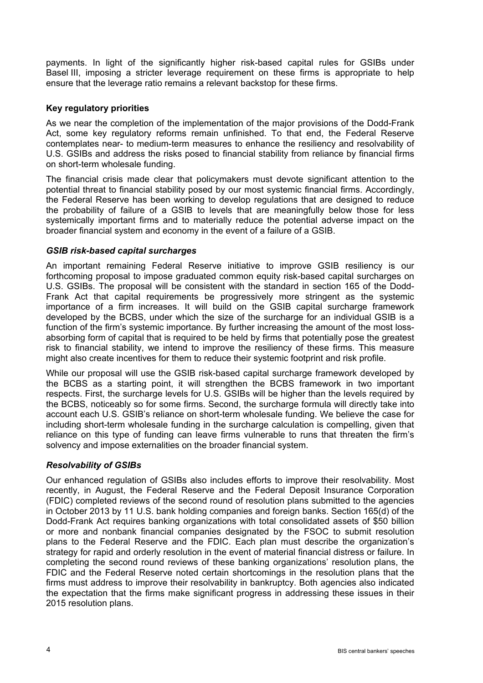payments. In light of the significantly higher risk-based capital rules for GSIBs under Basel III, imposing a stricter leverage requirement on these firms is appropriate to help ensure that the leverage ratio remains a relevant backstop for these firms.

## **Key regulatory priorities**

As we near the completion of the implementation of the major provisions of the Dodd-Frank Act, some key regulatory reforms remain unfinished. To that end, the Federal Reserve contemplates near- to medium-term measures to enhance the resiliency and resolvability of U.S. GSIBs and address the risks posed to financial stability from reliance by financial firms on short-term wholesale funding.

The financial crisis made clear that policymakers must devote significant attention to the potential threat to financial stability posed by our most systemic financial firms. Accordingly, the Federal Reserve has been working to develop regulations that are designed to reduce the probability of failure of a GSIB to levels that are meaningfully below those for less systemically important firms and to materially reduce the potential adverse impact on the broader financial system and economy in the event of a failure of a GSIB.

#### *GSIB risk-based capital surcharges*

An important remaining Federal Reserve initiative to improve GSIB resiliency is our forthcoming proposal to impose graduated common equity risk-based capital surcharges on U.S. GSIBs. The proposal will be consistent with the standard in section 165 of the Dodd-Frank Act that capital requirements be progressively more stringent as the systemic importance of a firm increases. It will build on the GSIB capital surcharge framework developed by the BCBS, under which the size of the surcharge for an individual GSIB is a function of the firm's systemic importance. By further increasing the amount of the most lossabsorbing form of capital that is required to be held by firms that potentially pose the greatest risk to financial stability, we intend to improve the resiliency of these firms. This measure might also create incentives for them to reduce their systemic footprint and risk profile.

While our proposal will use the GSIB risk-based capital surcharge framework developed by the BCBS as a starting point, it will strengthen the BCBS framework in two important respects. First, the surcharge levels for U.S. GSIBs will be higher than the levels required by the BCBS, noticeably so for some firms. Second, the surcharge formula will directly take into account each U.S. GSIB's reliance on short-term wholesale funding. We believe the case for including short-term wholesale funding in the surcharge calculation is compelling, given that reliance on this type of funding can leave firms vulnerable to runs that threaten the firm's solvency and impose externalities on the broader financial system.

## *Resolvability of GSIBs*

Our enhanced regulation of GSIBs also includes efforts to improve their resolvability. Most recently, in August, the Federal Reserve and the Federal Deposit Insurance Corporation (FDIC) completed reviews of the second round of resolution plans submitted to the agencies in October 2013 by 11 U.S. bank holding companies and foreign banks. Section 165(d) of the Dodd-Frank Act requires banking organizations with total consolidated assets of \$50 billion or more and nonbank financial companies designated by the FSOC to submit resolution plans to the Federal Reserve and the FDIC. Each plan must describe the organization's strategy for rapid and orderly resolution in the event of material financial distress or failure. In completing the second round reviews of these banking organizations' resolution plans, the FDIC and the Federal Reserve noted certain shortcomings in the resolution plans that the firms must address to improve their resolvability in bankruptcy. Both agencies also indicated the expectation that the firms make significant progress in addressing these issues in their 2015 resolution plans.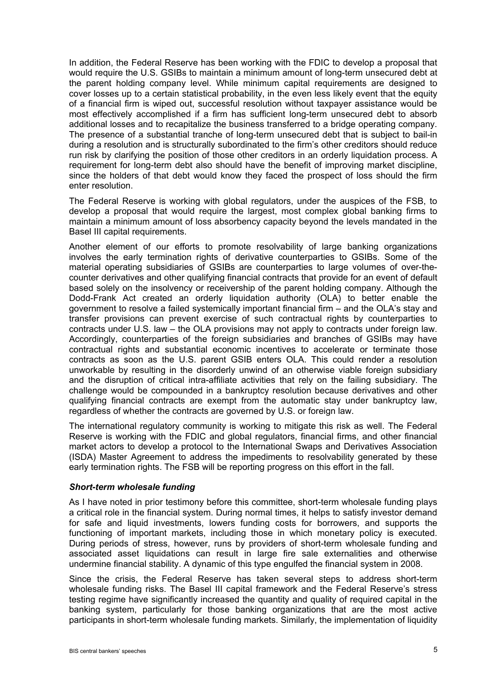In addition, the Federal Reserve has been working with the FDIC to develop a proposal that would require the U.S. GSIBs to maintain a minimum amount of long-term unsecured debt at the parent holding company level. While minimum capital requirements are designed to cover losses up to a certain statistical probability, in the even less likely event that the equity of a financial firm is wiped out, successful resolution without taxpayer assistance would be most effectively accomplished if a firm has sufficient long-term unsecured debt to absorb additional losses and to recapitalize the business transferred to a bridge operating company. The presence of a substantial tranche of long-term unsecured debt that is subject to bail-in during a resolution and is structurally subordinated to the firm's other creditors should reduce run risk by clarifying the position of those other creditors in an orderly liquidation process. A requirement for long-term debt also should have the benefit of improving market discipline, since the holders of that debt would know they faced the prospect of loss should the firm enter resolution.

The Federal Reserve is working with global regulators, under the auspices of the FSB, to develop a proposal that would require the largest, most complex global banking firms to maintain a minimum amount of loss absorbency capacity beyond the levels mandated in the Basel III capital requirements.

Another element of our efforts to promote resolvability of large banking organizations involves the early termination rights of derivative counterparties to GSIBs. Some of the material operating subsidiaries of GSIBs are counterparties to large volumes of over-thecounter derivatives and other qualifying financial contracts that provide for an event of default based solely on the insolvency or receivership of the parent holding company. Although the Dodd-Frank Act created an orderly liquidation authority (OLA) to better enable the government to resolve a failed systemically important financial firm – and the OLA's stay and transfer provisions can prevent exercise of such contractual rights by counterparties to contracts under U.S. law – the OLA provisions may not apply to contracts under foreign law. Accordingly, counterparties of the foreign subsidiaries and branches of GSIBs may have contractual rights and substantial economic incentives to accelerate or terminate those contracts as soon as the U.S. parent GSIB enters OLA. This could render a resolution unworkable by resulting in the disorderly unwind of an otherwise viable foreign subsidiary and the disruption of critical intra-affiliate activities that rely on the failing subsidiary. The challenge would be compounded in a bankruptcy resolution because derivatives and other qualifying financial contracts are exempt from the automatic stay under bankruptcy law, regardless of whether the contracts are governed by U.S. or foreign law.

The international regulatory community is working to mitigate this risk as well. The Federal Reserve is working with the FDIC and global regulators, financial firms, and other financial market actors to develop a protocol to the International Swaps and Derivatives Association (ISDA) Master Agreement to address the impediments to resolvability generated by these early termination rights. The FSB will be reporting progress on this effort in the fall.

#### *Short-term wholesale funding*

As I have noted in prior testimony before this committee, short-term wholesale funding plays a critical role in the financial system. During normal times, it helps to satisfy investor demand for safe and liquid investments, lowers funding costs for borrowers, and supports the functioning of important markets, including those in which monetary policy is executed. During periods of stress, however, runs by providers of short-term wholesale funding and associated asset liquidations can result in large fire sale externalities and otherwise undermine financial stability. A dynamic of this type engulfed the financial system in 2008.

Since the crisis, the Federal Reserve has taken several steps to address short-term wholesale funding risks. The Basel III capital framework and the Federal Reserve's stress testing regime have significantly increased the quantity and quality of required capital in the banking system, particularly for those banking organizations that are the most active participants in short-term wholesale funding markets. Similarly, the implementation of liquidity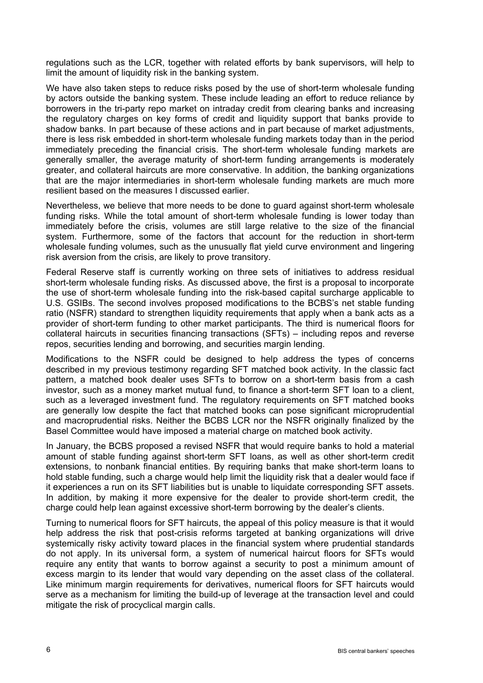regulations such as the LCR, together with related efforts by bank supervisors, will help to limit the amount of liquidity risk in the banking system.

We have also taken steps to reduce risks posed by the use of short-term wholesale funding by actors outside the banking system. These include leading an effort to reduce reliance by borrowers in the tri-party repo market on intraday credit from clearing banks and increasing the regulatory charges on key forms of credit and liquidity support that banks provide to shadow banks. In part because of these actions and in part because of market adjustments, there is less risk embedded in short-term wholesale funding markets today than in the period immediately preceding the financial crisis. The short-term wholesale funding markets are generally smaller, the average maturity of short-term funding arrangements is moderately greater, and collateral haircuts are more conservative. In addition, the banking organizations that are the major intermediaries in short-term wholesale funding markets are much more resilient based on the measures I discussed earlier.

Nevertheless, we believe that more needs to be done to guard against short-term wholesale funding risks. While the total amount of short-term wholesale funding is lower today than immediately before the crisis, volumes are still large relative to the size of the financial system. Furthermore, some of the factors that account for the reduction in short-term wholesale funding volumes, such as the unusually flat yield curve environment and lingering risk aversion from the crisis, are likely to prove transitory.

Federal Reserve staff is currently working on three sets of initiatives to address residual short-term wholesale funding risks. As discussed above, the first is a proposal to incorporate the use of short-term wholesale funding into the risk-based capital surcharge applicable to U.S. GSIBs. The second involves proposed modifications to the BCBS's net stable funding ratio (NSFR) standard to strengthen liquidity requirements that apply when a bank acts as a provider of short-term funding to other market participants. The third is numerical floors for collateral haircuts in securities financing transactions (SFTs) – including repos and reverse repos, securities lending and borrowing, and securities margin lending.

Modifications to the NSFR could be designed to help address the types of concerns described in my previous testimony regarding SFT matched book activity. In the classic fact pattern, a matched book dealer uses SFTs to borrow on a short-term basis from a cash investor, such as a money market mutual fund, to finance a short-term SFT loan to a client, such as a leveraged investment fund. The regulatory requirements on SFT matched books are generally low despite the fact that matched books can pose significant microprudential and macroprudential risks. Neither the BCBS LCR nor the NSFR originally finalized by the Basel Committee would have imposed a material charge on matched book activity.

In January, the BCBS proposed a revised NSFR that would require banks to hold a material amount of stable funding against short-term SFT loans, as well as other short-term credit extensions, to nonbank financial entities. By requiring banks that make short-term loans to hold stable funding, such a charge would help limit the liquidity risk that a dealer would face if it experiences a run on its SFT liabilities but is unable to liquidate corresponding SFT assets. In addition, by making it more expensive for the dealer to provide short-term credit, the charge could help lean against excessive short-term borrowing by the dealer's clients.

Turning to numerical floors for SFT haircuts, the appeal of this policy measure is that it would help address the risk that post-crisis reforms targeted at banking organizations will drive systemically risky activity toward places in the financial system where prudential standards do not apply. In its universal form, a system of numerical haircut floors for SFTs would require any entity that wants to borrow against a security to post a minimum amount of excess margin to its lender that would vary depending on the asset class of the collateral. Like minimum margin requirements for derivatives, numerical floors for SFT haircuts would serve as a mechanism for limiting the build-up of leverage at the transaction level and could mitigate the risk of procyclical margin calls.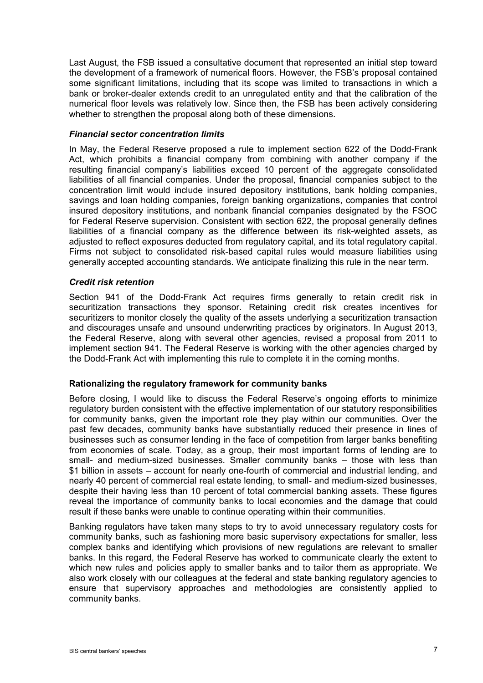Last August, the FSB issued a consultative document that represented an initial step toward the development of a framework of numerical floors. However, the FSB's proposal contained some significant limitations, including that its scope was limited to transactions in which a bank or broker-dealer extends credit to an unregulated entity and that the calibration of the numerical floor levels was relatively low. Since then, the FSB has been actively considering whether to strengthen the proposal along both of these dimensions.

#### *Financial sector concentration limits*

In May, the Federal Reserve proposed a rule to implement section 622 of the Dodd-Frank Act, which prohibits a financial company from combining with another company if the resulting financial company's liabilities exceed 10 percent of the aggregate consolidated liabilities of all financial companies. Under the proposal, financial companies subject to the concentration limit would include insured depository institutions, bank holding companies, savings and loan holding companies, foreign banking organizations, companies that control insured depository institutions, and nonbank financial companies designated by the FSOC for Federal Reserve supervision. Consistent with section 622, the proposal generally defines liabilities of a financial company as the difference between its risk-weighted assets, as adjusted to reflect exposures deducted from regulatory capital, and its total regulatory capital. Firms not subject to consolidated risk-based capital rules would measure liabilities using generally accepted accounting standards. We anticipate finalizing this rule in the near term.

#### *Credit risk retention*

Section 941 of the Dodd-Frank Act requires firms generally to retain credit risk in securitization transactions they sponsor. Retaining credit risk creates incentives for securitizers to monitor closely the quality of the assets underlying a securitization transaction and discourages unsafe and unsound underwriting practices by originators. In August 2013, the Federal Reserve, along with several other agencies, revised a proposal from 2011 to implement section 941. The Federal Reserve is working with the other agencies charged by the Dodd-Frank Act with implementing this rule to complete it in the coming months.

## **Rationalizing the regulatory framework for community banks**

Before closing, I would like to discuss the Federal Reserve's ongoing efforts to minimize regulatory burden consistent with the effective implementation of our statutory responsibilities for community banks, given the important role they play within our communities. Over the past few decades, community banks have substantially reduced their presence in lines of businesses such as consumer lending in the face of competition from larger banks benefiting from economies of scale. Today, as a group, their most important forms of lending are to small- and medium-sized businesses. Smaller community banks – those with less than \$1 billion in assets – account for nearly one-fourth of commercial and industrial lending, and nearly 40 percent of commercial real estate lending, to small- and medium-sized businesses, despite their having less than 10 percent of total commercial banking assets. These figures reveal the importance of community banks to local economies and the damage that could result if these banks were unable to continue operating within their communities.

Banking regulators have taken many steps to try to avoid unnecessary regulatory costs for community banks, such as fashioning more basic supervisory expectations for smaller, less complex banks and identifying which provisions of new regulations are relevant to smaller banks. In this regard, the Federal Reserve has worked to communicate clearly the extent to which new rules and policies apply to smaller banks and to tailor them as appropriate. We also work closely with our colleagues at the federal and state banking regulatory agencies to ensure that supervisory approaches and methodologies are consistently applied to community banks.